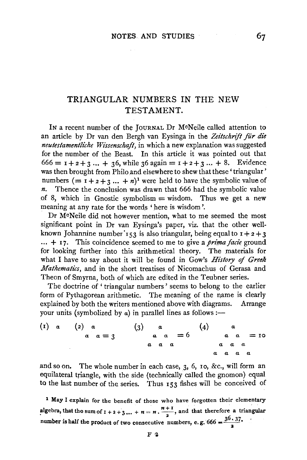67

## TRIANGULAR NUMBERS IN THE NEW TESTAMENT.

IN a recent number of the JOURNAL Dr McNeile called attention to an article by Dr van den Bergh van Eysinga in the Zeitschrift für die *neutestamentliche Wissenschaft*, in which a new explanation was suggested for the number of the Beast. In this article it was pointed out that  $666 = 1 + 2 + 3 ... + 36$ , while 36 again =  $1 + 2 + 3 ... + 8$ . Evidence was then brought from Philo and elsewhere to shew that these 'triangular' numbers  $(= 1 + 2 + 3 ... + n)^{1}$  were held to have the symbolic value of *n.* Thence the conclusion was drawn that 666 had the symbolic value of 8, which in Gnostic symbolism  $=$  wisdom. Thus we get a new meaning at any rate for the words 'here is wisdom'.

Dr M0Neile did not however mention, what to me seemed the most significant point in Dr van Eysinga's paper, viz. that the other wellknown Johannine number  $153$  is also triangular, being equal to  $1+2+3$ ... + 17. This coincidence seemed to me to give a *prima facie* ground for looking further into this arithmetical theory. The materials for what I have to say about it will be found in Gow's *History of Greek Mathematics,* and in the short treatises of Nicomachus of Gerasa and Theon of Smyrna, both of which are edited in the Teubner series.

The doctrine of 'triangular numbers' seems to belong to the earlier form of Pythagorean arithmetic. The meaning of the name is clearly explained by both the writers mentioned above with diagrams. Arrange your units (symbolized by a) in parallel lines as follows:—

$$
\begin{array}{ccccccccc}\n(1) & a & & (2) & a & & (3) & a & & (4) & a \\
& a & a & = & 3 & & a & a & = & 6 & & a & a & = & 10 \\
& a & a & a & a & & & a & a & a & a\n\end{array}
$$

and so on. The whole number in each case, 3, 6, 10, &c., will form an equilateral triangle, with the side (technically called the gnomon) equal to the last number of the series. Thus 153 fishes will be conceived of

<sup>1</sup> May I explain for the benefit of those who have forgotten their elementary algebra, that the sum of  $1 + 2 + 3... + n = n \cdot \frac{n+1}{2}$ , and that therefore a triangular number is half the product of two consecutive numbers, e.g.  $666 = \frac{36 \cdot 37}{a}$ .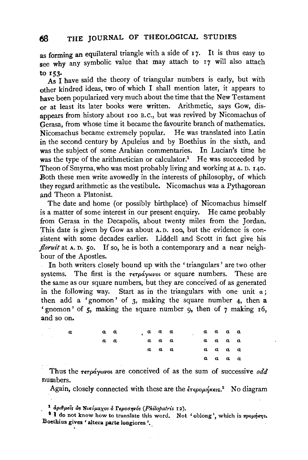as forming an equilateral triangle with a side of  $17$ . It is thus easy to see why any symbolic value that may attach to 17 will also attach

to r53. As I have said the theory of triangular numbers is early, but with other kindred ideas, two of which I shall mention later, it appears to have been popularized very much about the time that the New Testament or at least its later books were written. Arithmetic, says Gow, disappears from history about roo B.C., but was revived by Nicomachus of Gerasa, from whose time it became the favourite branch of mathematics. Nicomachus became extremely popular. He was translated into Latin in the second century by Apuleius and by Boethius in the sixth, and was the subject of some Arabian commentaries. In Lucian's time he was the type of the arithmetician or calculator.<sup>1</sup> He was succeeded by 'Theon of Smyrna, who was most probably living and working at A. D. 140. Both these men write avowedly in the interests of philosophy, of which they regard arithmetic as the vestibule. Nicomachus was a Pythagorean and Theon a Platonist.

The date and home (or possibly birthplace) of Nicomachus himself is a matter of some interest in our present enquiry. He came probably from Gerasa in the Decapolis, about twenty miles from the Jordan. This date is given by Gow as about A.D. roa, but the evidence is consistent with some decades earlier. Liddell and Scott in fact give his *floruit* at A. D. 50. If so, he is both a contemporary and a near neighbour of the Apostles.

In both writers closely bound up with the ' triangulars ' are two other systems. The first is the  $\tau \in \sigma \wedge \sigma \vee \sigma$  or square numbers. These are the same as our square numbers, but they are conceived of as generated in the following way. Start as in the triangulars with one unit *a;*  then add a 'gnomon' of  $3$ , making the square number 4, then a 'gnomon' of 5, making the square number 9, then of 7 making 16, and so on.

| a | a a |  | a a a       |  |  | $a \ a \ a \ a$ |  |
|---|-----|--|-------------|--|--|-----------------|--|
|   | a a |  | a a a       |  |  | a a a a         |  |
|   |     |  | $a \ a \ a$ |  |  | $a \ a \ a \ a$ |  |
|   |     |  |             |  |  | a a a a         |  |

Thus the  $\tau \in \rho \stackrel{\circ}{\alpha}$  ywvoi are conceived of as the sum of successive *odd* numbers.

Again, closely connected with these are the  $\epsilon \tau \epsilon \rho o \mu \eta \kappa \epsilon \kappa s$ . No diagram

<sup>1</sup> αριθμείς ως Νικόμαχος ο Γερασηνός (Philopatris 12).

<sup>1</sup> I do not know how to translate this word. Not 'oblong', which is  $\pi\rho o\mu\eta\kappa\eta s$ . Boethius gives 'altera parte longiores'.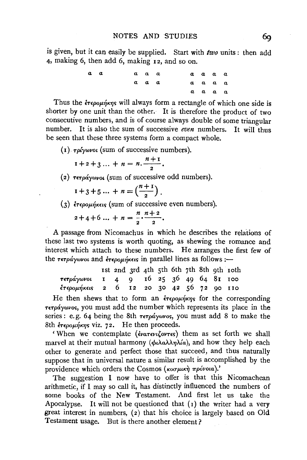is given, but it can easily be supplied. Start with *two* units : then add 4, making 6, then add 6, making 12, and so on.

*a a a a a a a a a a a a a a a a a a a a* 

Thus the  $\epsilon \in \epsilon_0$  outlet will always form a rectangle of which one side is shorter by one unit than the other. It is therefore the product of two consecutive numbers, and is of course always double of some triangular number. It is also the sum of successive *even* numbers. It will thus be seen that these three systems form a compact whole.

( 1) *-rp{ywvoi* (sum of successive numbers).

$$
1+2+3\ldots + n = n.\frac{n+1}{2}.
$$

$$
(2)
$$
 τετράγωνοι (sum of successive odd numbers).

 $x + 3 + 5 ... + n = \left(\frac{n+1}{2}\right).$ 

(3)  $\epsilon_{\text{TEPO}}/\epsilon_{\text{KFCO}}$  (sum of successive even numbers).

$$
2+4+6...+n=\frac{n}{2}\cdot\frac{n+2}{2}.
$$

A passage from Nicomachus in which he describes the relations of these last two systems is worth quoting, as shewing the romance and interest which attach to these numbers. He arranges the first few of the  $\tau \epsilon \tau \rho \acute{a} \gamma \omega \nu o \iota$  and  $\acute{\epsilon} \tau \epsilon \rho o \mu \acute{\eta} \kappa \epsilon \iota \varsigma$  in parallel lines as follows :-

|                                                 |  |  |  |  | ist 2nd 3rd 4th 5th 6th 7th 8th 9th 10th |
|-------------------------------------------------|--|--|--|--|------------------------------------------|
| τετράγωνοι <b>1</b> 4 9 16 25 36 49 64 81 100   |  |  |  |  |                                          |
| <i>έτερομήκεις</i> 2 6 12 20 30 42 56 72 90 110 |  |  |  |  |                                          |

He then shews that to form an  $\epsilon_{\text{TE}}$  for the corresponding *TETpaywvo<;,* you must add the number which represents its place in the series: e.g. 64 being the 8th  $\tau \in \sigma \circ \omega$  wos, you must add 8 to make the 8th έτερομήκης viz. 72. He then proceeds.

'When we contemplate *(ivarevi*, over shall them as set forth we shall marvel at their mutual harmony (φιλαλληλία), and how they help each other to generate and perfect those that succeed, and thus naturally suppose that in universal nature a similar result is accomplished by the providence which orders the Cosmos (κοσμική πρόνοια).'

The suggestion I now have to offer is that this Nicomachean arithmetic, if I may so call it, has distinctly influenced the numbers of some books of the New Testament. And first let us take the Apocalypse. It will not be questioned that  $(1)$  the writer had a very great interest in numbers, (2) that his choice is largely based on Old Testament usage. But is there another element?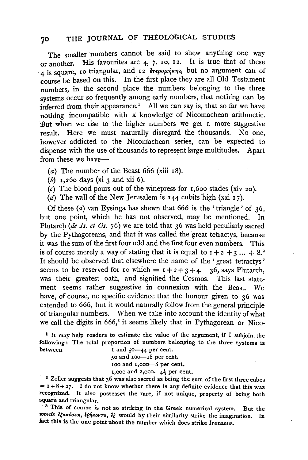## 70 THE JOURNAL OF THEOLOGICAL STUDIES

The smaller numbers cannot be said to shew anything one way or another. His favourites are 4, 7, 10, 12. It is true that of these <sup>4</sup> is square, 10 triangular, and 12 ετερομήκης, but no argument can of course be based on this. In the first place they are all Old Testament numbers, in the second place the numbers belonging to the three systems occur so frequently among early numbers, that nothing can be inferred from their appearance.<sup>1</sup> All we can say is, that so far we have nothing incompatible with a: knowledge of Nicomachean arithmetic. But when we rise to the higher numbers we get a more suggestive result. Here we must naturally disregard the thousands. No one, however addicted to the Nicomachean series, can be expected to dispense with the use of thousands to represent large multitudes. Apart from these we have-

- (a) The number of the Beast 666 (xiii  $18$ ).
- $(b)$  1,260 days (xi 3 and xii 6).
- (c) The blood pours out of the winepress for 1,600 stades (xiv 20).
- (d) The wall of the New Jerusalem is  $144$  cubits high (xxi  $17$ ).

Of these  $(a)$  van Eysinga has shewn that 666 is the 'triangle' of 36, but one point, which he has not observed, may be mentioned. In Plutarch (de Is. et Os. 76) we are told that 36 was held peculiarly sacred by the Pythagoreans, and that it was called the great tetractys, because it was the sum of the first four odd and the first four even numbers. This is of course merely a way of stating that it is equal to  $1 + 2 + 3$ ... +  $8.^2$ It should be observed that elsewhere the name of the ' great tetractys ' seems to be reserved for 10 which  $= 1+2+3+4$ . 36, says Plutarch, was their greatest oath, and signified the Cosmos. This last statement seems rather suggestive in connexion with the Beast. We have, of course, no specific evidence that the honour given to 36 was extended to 666, but it would naturally follow from the general principle of triangular numbers. When we take into account the identity of what we call the digits in 666,<sup>3</sup> it seems likely that in Pythagorean or Nico-

<sup>1</sup>It may help readers to estimate the value of the argument, if I subjoin the following: The total proportion of numbers belonging to the three systems is between I and 50-44 per cent.

50 and 100-18 per cent.

100 and 1,000 - 8 per cent.<br>1,000 and 2,000 -  $4\frac{1}{3}$  per cent.

<sup>2</sup> Zeller suggests that 36 was also sacred as being the sum of the first three cubes  $=$  I + 8 + 27. I do not know whether there is any definite evidence that this was recognized. It also possesses the rare, if not unique, property of being both square and triangular.<br><sup>8</sup> This of course is not so striking in the Greek numerical system. But the

words *ifanóoioi*, *ifhnovra*, if would by their similarity strike the imagination. In fact this is the one point about the number which does strike Irenaeus.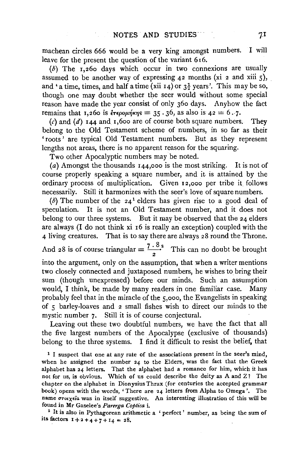machean circles 666 would be a very king amongst numbers. I will leave for the present the question of the variant 616.

 $(b)$  The 1,260 days which occur in two connexions are usually assumed to be another way of expressing  $42$  months (xi 2 and xiii 5), and 'a time, times, and half a time (xii 14) or  $3\frac{1}{2}$  years'. This may be so, though one may doubt whether the seer would without some special reason have made the year consist of only 360 days. Anyhow the fact remains that 1,260 is  $\epsilon \rightarrow$   $\epsilon \rightarrow$   $\epsilon$   $\rightarrow$   $\epsilon$   $\rightarrow$  35.36, as also is 42 = 6.7.

(c) and (d) 144 and 1,600 are of course both square numbers. They belong to the Old Testament scheme of numbers, in so far as their 'roots' are typical Old Testament numbers. But as they represent lengths not areas, there is no apparent reason for the squaring.

Two other Apocalyptic numbers may be noted.

(a) Amongst the thousands 144,000 is the most striking. It is not of course properly speaking a square number, and it is attained by the ordinary process *o(* multiplication. Given 12,000 per tribe it follows necessarily. Still it harmonizes with the seer's love of square numbers.

(b) The number of the  $24<sup>1</sup>$  elders has given rise to a good deal of speculation. It is not an Old Testament number, and it does not belong to our three systems. But it may be observed that the 24 elders are always (I do not think xi 16 is really an exception) coupled with the 4 living creatures. That is to say there are always 28 round the Throne.

And 28 is of course triangular  $=\frac{7 \cdot 8}{2}$  This can no doubt be brought

into the argument, only on the assumption, that when a writer mentions two closely connected and juxtaposed numbers, he wishes to bring their sum (though unexpressed) before our minds. Such an assumption would, I think, be made by many readers in one familiar case. Many probably feel that in the miracle of the 5,000, the Evangelists in speaking of 5 barley-loaves and 2 small fishes wish to direct our minds to the mystic number 7. Still it is of course conjectural.

Leaving out these two doubtful numbers, we have the fact that all the five largest numbers of the Apocalypse (exclusive of thousands) belong to the three systems. I find it difficult to resist the belief, that

<sup>1</sup> I suspect that one at any rate of the associations present in the seer's mind, when he assigned the number  $24$  to the Elders, was the fact that the Greek alphabet has 24 letters. That the alphabet had a romance for him, which it has not for us, is obvious. Which of us could describe the deity as A and  $Z$ ? The chapter on the alphabet in Dionysius Thrax (for centuries the accepted grammar book) opens with the words, 'There are 24 letters from Alpha to Omega'. The name στοιχεία was in itself suggestive. An interesting illustration of this will be

found in Mr Gaselee's *Parerga Coptica* i. 2 It is also in Pythagorean arithmetic a ' perfect ' number, as being the sum of its factors  $1+2+4+7+14 = 28$ .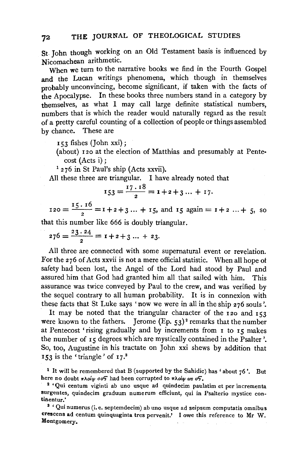St. John though working on an Old Testament basis is influenced by Nicomachean arithmetic.

When we turn to the narrative books we find in the Fourth Gospel and the Lucan writings phenomena, which though in themselves probably unconvincing, become significant, if taken with the facts of the Apocalypse. In these books three numbers stand in a category by themselves, as what I may call large definite statistical numbers, numbers that is which the reader would naturally regard as the result of a pretty careful counting of a collection of people or things assembled by chance. These are

153 fishes (John xxi);

(about) 120 at the election of Matthias and presumably at Pente·

cost (Acts i);<br> $1276$  in St Paul's ship (Acts xxvii).

All these three are triangular. I have already noted that

$$
I53 = \frac{17 \cdot 18}{2} = 1 + 2 + 3 \dots + 17.
$$

 $120 = \frac{15 \cdot 16}{2} = 1 + 2 + 3 \dots + 15$ , and  $15$  again =  $1 + 2 \dots + 5$ , so

that this number like 666 is doubly triangular.

 $276 = \frac{23 \cdot 24}{2} = 1 + 2 + 3 \dots + 23.$ 

All three are connected with some supernatural event or revelation. For the 276 of Acts xxvii is not a mere official statistic. When all hope ot safety had been lost, the Angel of the Lord had stood by Paul and assured him that God had granted him all that sailed with him. This assurance was twice conveyed by Paul to the crew, and was verified by the sequel contrary to all human probability. It is in connexion with these facts that St Luke says 'now we were in all in the ship 276 souls'.

It may be noted that the triangular character of the 120 and 153 were known to the fathers. Jerome (Ep. 53)<sup>2</sup> remarks that the number at Pentecost 'rising gradually and by increments from 1 to 15 makes the number of 15 degrees which are mystically contained in the Psalter'. So, too, Augustine in his tractate on John xxi shews by addition that  $153$  is the 'triangle' of  $17<sup>3</sup>$ 

<sup>&</sup>lt;sup>1</sup> It will be remembered that B (supported by the Sahidic) has 'about  $76$ '. But here no doubt  $\pi\lambda o(\varphi o\sigma)$  had been corrupted to  $\pi\lambda o(\varphi \omega s \sigma)$ .<br><sup>2</sup> 'Qui centum viginti ab uno usque ad quindecim paulatim et per incrementa

surgentes, quindecim graduum numerum efficiunt, qui in Psalterio mystice con-

<sup>&</sup>lt;sup>3</sup> ' Qui numerus (i. e. septemdecim) ab uno usque ad seipsum computatis omnibus crescens ad centum quinquaginta tres pervenit.' I owe this reference to Mr W. Montgomery,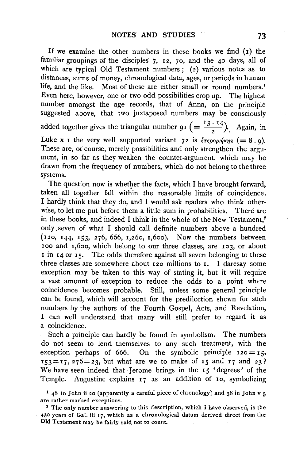If we examine the other numbers in these books we find  $(i)$  the familiar groupings of the disciples 7, 12, 70, and the 40 days, all of which are typical Old Testament numbers; (2) various notes as to distances, sums of money, chronological data, ages, or periods in human life, and the like. Most of these are either small or round numbers.<sup>1</sup> Even here, however, one or two odd possibilities crop up. The highest number amongst the age records, that of Anna, on the principle suggested above, that two juxtaposed numbers may be consciously added together gives the triangular number 91 (=  $\frac{13 \cdot 14}{2}$ ). Again, in Luke x 1 the very well supported variant 72 is  $\epsilon \epsilon \epsilon \rho \partial \mu \eta \kappa \eta s$  (= 8.9). These are, of course, merely possibilities and only strengthen the argument, in so far as they weaken the counter-argument, which may be drawn from the frequency of numbers, which do not belong to the three systems.

The question now is whether the facts, which I have brought forward, taken all together fall within the reasonable limits of coincidence. I hardly think that they do, and I would ask readers who think otherwise, to let me put before them a little sum in probabilities. There are in these books, and indeed I think in the whole of the New Testament,<sup>2</sup> only .seven of what I should call definite numbers above a hundred  $(120, 144, 153, 276, 666, 1,260, 1,600)$ . Now the numbers between 100 and 1,600, which belong to our three classes, are 103, or about I in 14 or 15. The odds therefore against all seven belonging to these three classes are somewhere about 120 millions to  $\mathbf{r}$ . I daresay some exception may be taken to this way of stating it, but it will require a vast amount of exception to reduce the odds to a point where coincidence becomes probable. Still, unless some general principle can be found, which will account for the predilection shewn for such numbers by the authors of the Fourth Gospel, Acts, and Revelation, I can well understand that many will still prefer to regard it as a coincidence.

Such a principle can hardly be found in symbolism. The numbers do not seem to lend themselves to any such treatment, with the exception perhaps of 666. On the symbolic principle  $120 = 15$ ,  $153=17, 276=23$ , but what are we to make of 15 and 17 and 23? We have seen indeed that Jerome brings in the 15 'degrees' of the Temple. Augustine explains 17 as an addition of 10, symbolizing

1 46 in John ii 20 (apparently a careful piece of chronology) and 38 in John v 5 are rather marked exceptions.

• The only number answering to this description, which I have observed, is the 430 years of Gal. iii 17, which as a chronological datum derived direct from the Old Testament may be fairly said not to count.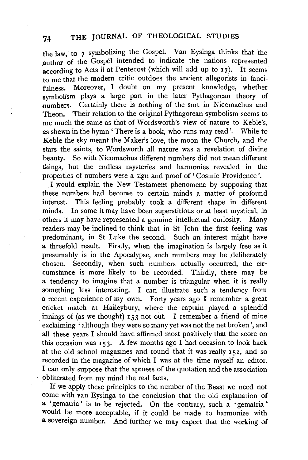the law, to 7 symbolizing the Gospel. Van Eysinga thinks that the author of the Gospel intended to indicate the nations represented according to Acts ii at Pentecost (which will add up to 17). It seems to me that the modern critic outdoes the ancient allegorists in fancifulness. Moreover, I doubt on my present knowledge, whether symbolism plays a large part in the later Pythagorean theory of .numbers. Certainly there is nothing of the sort in Nicomachus and Theon. Their relation to the original Pythagorean symbolism seems to me much the same as that of Wordsworth's view of nature to Keble's, as shewn in the hymn 'There is a book, who runs may read'. While to Keble the sky meant the Maker's love, the moon the Church, and the stars the saints, to Wordsworth all nature was a revelation of divine beauty. So with Nicomachus different numbers did not mean different things, but the endless mysteries and harmonies revealed in the properties of numbers were a sign and proof of 'Cosmic Providence'.

I would explain the New Testament phenomena by supposing that these numbers had become to certain minds a matter of profound interest. This feeling probably took a different shape in different minds. In some it may have been superstitious or at least mystical, in others it may have represented a genuine intellectual curiosity. Many .readers may be inclined to think that in St John the first feeling was predominant, in St Luke the second. Such an interest might have a threefold result. Firstly, when the imagination is largely free as it presumably is in the Apocalypse, such numbers may be deliberately chosen. Secondly, when such numbers actually occurred, the circumstance is more likely to be recorded. Thirdly, there may be a tendency to imagine that a number is triangular when it is really something less interesting. I can illustrate such a tendency from a recent experience of my own. Forty years ago I remember a great cricket match at Halleybury, where the captain played a splendid innings of (as we thought) 153 not out. I remember a friend of mine exclaiming ' although they were so many yet was not the net broken ', and all these years I should have affirmed most positively that the score on this occasion was  $153$ . A few months ago I had occasion to look back at the old school magazines and found that it was really 152, and so recorded in the magazine of which I was at the time myself an editor. . I can only suppose that the aptness of the quotation and the association obliterated from my mind the real facts.

If we apply these principles to the number of the Beast we need not come with van Eysinga to the conclusion that the old explanation of a 'gematria' is to be rejected. On the contrary, such a 'gematria • would be more acceptable, if it could be made to harmonize with a sovereign number. And further we may expect that the working of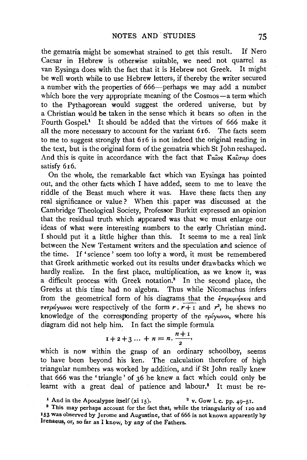the gematria might be somewhat strained to get this result. If Nero Caesar in Hebrew is otherwise suitable, we need not quarrel as van Eysinga does with the fact that it is Hebrew not Greek. It might be well worth while to use Hebrew letters, if thereby the writer secured a number with the properties of 666—perhaps we may add a number which bore the very appropriate meaning of the Cosmos-a term which to the Pythagorean would suggest the ordered universe, but by a Christian would be taken in the sense which it bears so often in the Fourth Gospel.<sup>1</sup> It should be added that the virtues of 666 make it all the more necessary to account for the variant 6 16. The facts seem to me to suggest strongly that 616 is not indeed the original reading in the text, but is the original form of the gematria which St John reshaped. And this is quite in accordance with the fact that  $\Gamma a_{\text{cos}}$  *Kalgap* does satisfy 616.

On the whole, the remarkable fact which van Eysinga has pointed out, and the other facts which I have added, seem to me to leave the riddle of the Beast much where it was. Have these facts then any real significance or value ? When this paper was discussed at the Cambridge Theological Society, Professor Burkitt expressed an opinion that the residual truth which appeared was that we must enlarge our ideas of what were interesting numbers to the early Christian mind. I should put it a little higher than this. It seems to me a real link between the New Testament writers and the speculation and science of the time. If' science' seem too lofty a word, it must be remembered that Greek arithmetic worked out its results under drawbacks which we hardly realize. In the first place, multiplication, as we know it, was a difficult process with Greek notation.2 In the second place, the Greeks at this time had no algebra. Thus while Nicomachus infers from the geometrical form of his diagrams that the  $\epsilon \rightarrow$   $\epsilon \rightarrow \epsilon \rightarrow \epsilon$ *Terpaywvoi* were respectively of the form  $r, r+1$  and  $r^2$ , he shews no knowledge of the corresponding property of the *Tplywvoi,* where his diagram did not help him. In fact the simple formula<br>  $1+2+3...+n = n \cdot \frac{n+1}{2}$ 

$$
1+2+3 \ldots + n = n \cdot \frac{n+1}{2},
$$

which is now within the grasp of an ordinary schoolboy, seems to have been beyond his ken. The calculation therefore of high triangular numbers was worked by addition, and if St John really knew that 666 was the 'triangle' of 36 he knew a fact which could only be learnt with a great deal of patience and labour.<sup>3</sup> It must be re-

<sup>&</sup>lt;sup>1</sup> And in the Apocalypse itself (xi 15). <sup>2</sup> v. Gow l. c. pp. 49-51.<br><sup>3</sup> This may perhaps account for the fact that, while the triangularity of 120 and

<sup>153</sup> was observed by Jerome and Augustine, that of 666 is not known apparently by lrenaeus, or, so far as I know, by any of the Fathers.